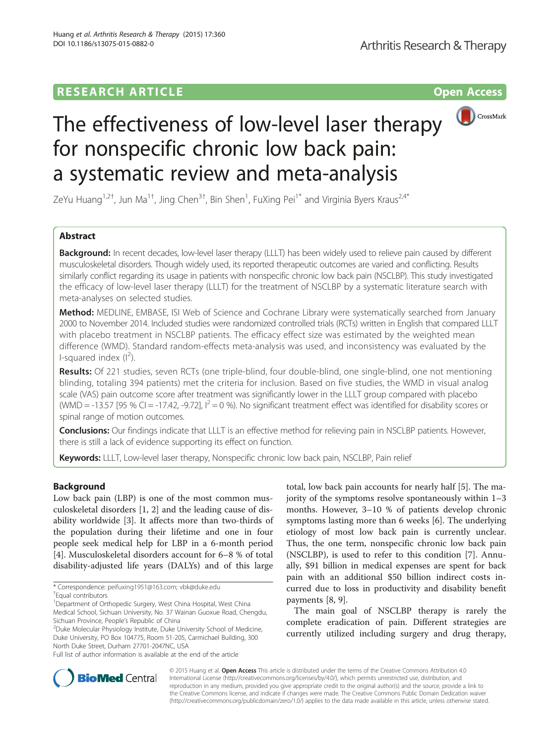## **RESEARCH ARTICLE Example 2014 12:30 The Contract of Contract Access**



# The effectiveness of low-level laser therapy for nonspecific chronic low back pain: a systematic review and meta-analysis

ZeYu Huang<sup>1,2†</sup>, Jun Ma<sup>1†</sup>, Jing Chen<sup>3†</sup>, Bin Shen<sup>1</sup>, FuXing Pei<sup>1\*</sup> and Virginia Byers Kraus<sup>2,4\*</sup>

## Abstract

Background: In recent decades, low-level laser therapy (LLLT) has been widely used to relieve pain caused by different musculoskeletal disorders. Though widely used, its reported therapeutic outcomes are varied and conflicting. Results similarly conflict regarding its usage in patients with nonspecific chronic low back pain (NSCLBP). This study investigated the efficacy of low-level laser therapy (LLLT) for the treatment of NSCLBP by a systematic literature search with meta-analyses on selected studies.

Method: MEDLINE, EMBASE, ISI Web of Science and Cochrane Library were systematically searched from January 2000 to November 2014. Included studies were randomized controlled trials (RCTs) written in English that compared LLLT with placebo treatment in NSCLBP patients. The efficacy effect size was estimated by the weighted mean difference (WMD). Standard random-effects meta-analysis was used, and inconsistency was evaluated by the I-squared index  $(l^2)$ .

Results: Of 221 studies, seven RCTs (one triple-blind, four double-blind, one single-blind, one not mentioning blinding, totaling 394 patients) met the criteria for inclusion. Based on five studies, the WMD in visual analog scale (VAS) pain outcome score after treatment was significantly lower in the LLLT group compared with placebo (WMD = -13.57 [95 % CI = -17.42, -9.72],  $I^2 = 0$  %). No significant treatment effect was identified for disability scores or spinal range of motion outcomes.

Conclusions: Our findings indicate that LLLT is an effective method for relieving pain in NSCLBP patients. However, there is still a lack of evidence supporting its effect on function.

Keywords: LLLT, Low-level laser therapy, Nonspecific chronic low back pain, NSCLBP, Pain relief

## Background

Low back pain (LBP) is one of the most common musculoskeletal disorders [\[1](#page-6-0), [2](#page-6-0)] and the leading cause of disability worldwide [\[3](#page-6-0)]. It affects more than two-thirds of the population during their lifetime and one in four people seek medical help for LBP in a 6-month period [\[4](#page-6-0)]. Musculoskeletal disorders account for 6–8 % of total disability-adjusted life years (DALYs) and of this large

<sup>†</sup>Equal contributors

<sup>1</sup>Department of Orthopedic Surgery, West China Hospital, West China Medical School, Sichuan University, No. 37 Wainan Guoxue Road, Chengdu, Sichuan Province, People's Republic of China <sup>2</sup>

<sup>2</sup>Duke Molecular Physiology Institute, Duke University School of Medicine, Duke University, PO Box 104775, Room 51-205, Carmichael Building, 300 North Duke Street, Durham 27701-2047NC, USA

total, low back pain accounts for nearly half [[5](#page-6-0)]. The majority of the symptoms resolve spontaneously within 1–3 months. However, 3–10 % of patients develop chronic symptoms lasting more than 6 weeks [\[6](#page-6-0)]. The underlying etiology of most low back pain is currently unclear. Thus, the one term, nonspecific chronic low back pain (NSCLBP), is used to refer to this condition [\[7](#page-6-0)]. Annually, \$91 billion in medical expenses are spent for back pain with an additional \$50 billion indirect costs incurred due to loss in productivity and disability benefit payments [\[8](#page-6-0), [9](#page-6-0)].

The main goal of NSCLBP therapy is rarely the complete eradication of pain. Different strategies are currently utilized including surgery and drug therapy,



© 2015 Huang et al. Open Access This article is distributed under the terms of the Creative Commons Attribution 4.0 International License (<http://creativecommons.org/licenses/by/4.0/>), which permits unrestricted use, distribution, and reproduction in any medium, provided you give appropriate credit to the original author(s) and the source, provide a link to the Creative Commons license, and indicate if changes were made. The Creative Commons Public Domain Dedication waiver [\(http://creativecommons.org/publicdomain/zero/1.0/](http://creativecommons.org/publicdomain/zero/1.0/)) applies to the data made available in this article, unless otherwise stated.

<sup>\*</sup> Correspondence: [peifuxing1951@163.com](mailto://(null)peifuxing1951@163.com); [vbk@duke.edu](mailto://(null)vbk@duke.edu) †

Full list of author information is available at the end of the article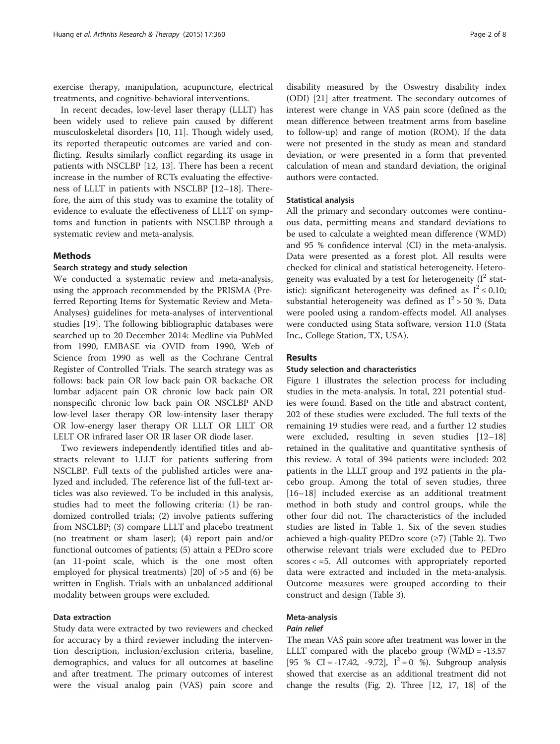exercise therapy, manipulation, acupuncture, electrical treatments, and cognitive-behavioral interventions.

In recent decades, low-level laser therapy (LLLT) has been widely used to relieve pain caused by different musculoskeletal disorders [\[10](#page-6-0), [11](#page-6-0)]. Though widely used, its reported therapeutic outcomes are varied and conflicting. Results similarly conflict regarding its usage in patients with NSCLBP [\[12](#page-6-0), [13](#page-6-0)]. There has been a recent increase in the number of RCTs evaluating the effectiveness of LLLT in patients with NSCLBP [\[12](#page-6-0)–[18](#page-6-0)]. Therefore, the aim of this study was to examine the totality of evidence to evaluate the effectiveness of LLLT on symptoms and function in patients with NSCLBP through a systematic review and meta-analysis.

## **Methods**

#### Search strategy and study selection

We conducted a systematic review and meta-analysis, using the approach recommended by the PRISMA (Preferred Reporting Items for Systematic Review and Meta-Analyses) guidelines for meta-analyses of interventional studies [\[19](#page-6-0)]. The following bibliographic databases were searched up to 20 December 2014: Medline via PubMed from 1990, EMBASE via OVID from 1990, Web of Science from 1990 as well as the Cochrane Central Register of Controlled Trials. The search strategy was as follows: back pain OR low back pain OR backache OR lumbar adjacent pain OR chronic low back pain OR nonspecific chronic low back pain OR NSCLBP AND low-level laser therapy OR low-intensity laser therapy OR low-energy laser therapy OR LLLT OR LILT OR LELT OR infrared laser OR IR laser OR diode laser.

Two reviewers independently identified titles and abstracts relevant to LLLT for patients suffering from NSCLBP. Full texts of the published articles were analyzed and included. The reference list of the full-text articles was also reviewed. To be included in this analysis, studies had to meet the following criteria: (1) be randomized controlled trials; (2) involve patients suffering from NSCLBP; (3) compare LLLT and placebo treatment (no treatment or sham laser); (4) report pain and/or functional outcomes of patients; (5) attain a PEDro score (an 11-point scale, which is the one most often employed for physical treatments) [[20](#page-6-0)] of >5 and (6) be written in English. Trials with an unbalanced additional modality between groups were excluded.

## Data extraction

Study data were extracted by two reviewers and checked for accuracy by a third reviewer including the intervention description, inclusion/exclusion criteria, baseline, demographics, and values for all outcomes at baseline and after treatment. The primary outcomes of interest were the visual analog pain (VAS) pain score and

disability measured by the Oswestry disability index (ODI) [\[21](#page-6-0)] after treatment. The secondary outcomes of interest were change in VAS pain score (defined as the mean difference between treatment arms from baseline to follow-up) and range of motion (ROM). If the data were not presented in the study as mean and standard deviation, or were presented in a form that prevented calculation of mean and standard deviation, the original authors were contacted.

#### Statistical analysis

All the primary and secondary outcomes were continuous data, permitting means and standard deviations to be used to calculate a weighted mean difference (WMD) and 95 % confidence interval (CI) in the meta-analysis. Data were presented as a forest plot. All results were checked for clinical and statistical heterogeneity. Heterogeneity was evaluated by a test for heterogeneity  $(I^2 \text{ stat-})$ istic): significant heterogeneity was defined as  $I^2 \le 0.10$ ; substantial heterogeneity was defined as  $I^2 > 50$  %. Data were pooled using a random-effects model. All analyses were conducted using Stata software, version 11.0 (Stata Inc., College Station, TX, USA).

#### Results

#### Study selection and characteristics

Figure [1](#page-2-0) illustrates the selection process for including studies in the meta-analysis. In total, 221 potential studies were found. Based on the title and abstract content, 202 of these studies were excluded. The full texts of the remaining 19 studies were read, and a further 12 studies were excluded, resulting in seven studies [\[12](#page-6-0)–[18](#page-6-0)] retained in the qualitative and quantitative synthesis of this review. A total of 394 patients were included: 202 patients in the LLLT group and 192 patients in the placebo group. Among the total of seven studies, three [\[16](#page-6-0)–[18](#page-6-0)] included exercise as an additional treatment method in both study and control groups, while the other four did not. The characteristics of the included studies are listed in Table [1](#page-3-0). Six of the seven studies achieved a high-quality PEDro score  $(\geq 7)$  (Table [2](#page-3-0)). Two otherwise relevant trials were excluded due to PEDro scores < =5. All outcomes with appropriately reported data were extracted and included in the meta-analysis. Outcome measures were grouped according to their construct and design (Table [3](#page-4-0)).

## Meta-analysis

## Pain relief

The mean VAS pain score after treatment was lower in the LLLT compared with the placebo group (WMD =  $-13.57$ ) [95 % CI = -17.42, -9.72],  $I^2 = 0$  %). Subgroup analysis showed that exercise as an additional treatment did not change the results (Fig. [2](#page-4-0)). Three [[12](#page-6-0), [17](#page-6-0), [18](#page-6-0)] of the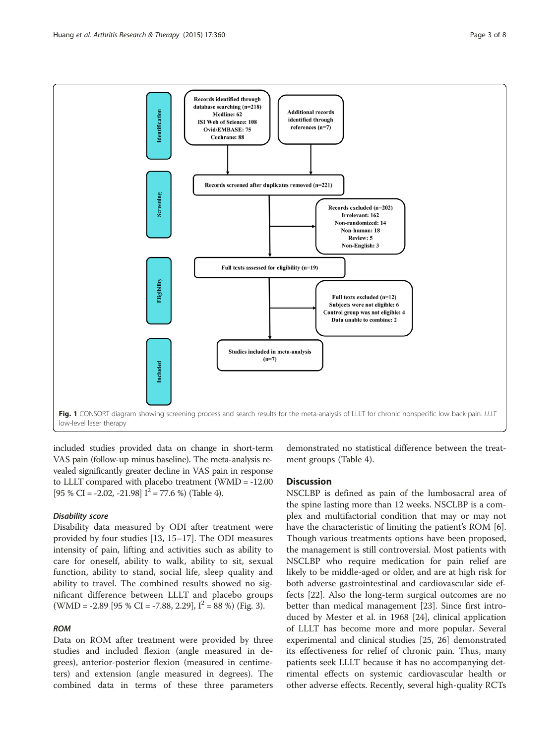<span id="page-2-0"></span>

included studies provided data on change in short-term VAS pain (follow-up minus baseline). The meta-analysis revealed significantly greater decline in VAS pain in response to LLLT compared with placebo treatment (WMD = -12.00 [95 % CI = -2.02, -21.98]  $I^2$  = 77.6 %) (Table [4](#page-5-0)).

#### Disability score

Disability data measured by ODI after treatment were provided by four studies [\[13](#page-6-0), [15](#page-6-0)–[17](#page-6-0)]. The ODI measures intensity of pain, lifting and activities such as ability to care for oneself, ability to walk, ability to sit, sexual function, ability to stand, social life, sleep quality and ability to travel. The combined results showed no significant difference between LLLT and placebo groups  $(WMD = -2.89 [95 % CI = -7.88, 2.29], I<sup>2</sup> = 88 % (Fig. 3).$  $(WMD = -2.89 [95 % CI = -7.88, 2.29], I<sup>2</sup> = 88 % (Fig. 3).$  $(WMD = -2.89 [95 % CI = -7.88, 2.29], I<sup>2</sup> = 88 % (Fig. 3).$ 

#### ROM

Data on ROM after treatment were provided by three studies and included flexion (angle measured in degrees), anterior-posterior flexion (measured in centimeters) and extension (angle measured in degrees). The combined data in terms of these three parameters

demonstrated no statistical difference between the treatment groups (Table [4](#page-5-0)).

## **Discussion**

NSCLBP is defined as pain of the lumbosacral area of the spine lasting more than 12 weeks. NSCLBP is a complex and multifactorial condition that may or may not have the characteristic of limiting the patient's ROM [\[6](#page-6-0)]. Though various treatments options have been proposed, the management is still controversial. Most patients with NSCLBP who require medication for pain relief are likely to be middle-aged or older, and are at high risk for both adverse gastrointestinal and cardiovascular side effects [\[22](#page-6-0)]. Also the long-term surgical outcomes are no better than medical management [[23](#page-6-0)]. Since first introduced by Mester et al. in 1968 [\[24](#page-6-0)], clinical application of LLLT has become more and more popular. Several experimental and clinical studies [[25](#page-6-0), [26](#page-6-0)] demonstrated its effectiveness for relief of chronic pain. Thus, many patients seek LLLT because it has no accompanying detrimental effects on systemic cardiovascular health or other adverse effects. Recently, several high-quality RCTs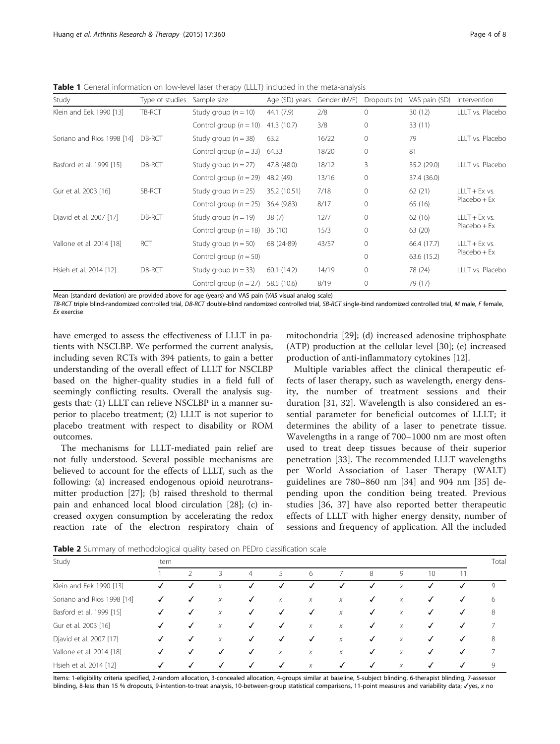<span id="page-3-0"></span>**Table 1** General information on low-level laser therapy (LLLT) included in the meta-analysis

| Study                      | Type of studies | Sample size                | Age (SD) years | Gender (M/F) | Dropouts (n)     | VAS pain (SD) | Intervention                      |  |
|----------------------------|-----------------|----------------------------|----------------|--------------|------------------|---------------|-----------------------------------|--|
| Klein and Eek 1990 [13]    | TB-RCT          | Study group $(n = 10)$     | 44.1(7.9)      | 2/8          | $\Omega$         | 30(12)        | LLLT vs. Placebo                  |  |
|                            |                 | Control group ( $n = 10$ ) | 41.3 (10.7)    | 3/8          | $\mathbf{0}$     | 33(11)        |                                   |  |
| Soriano and Rios 1998 [14] | DB-RCT          | Study group ( $n = 38$ )   | 63.2           | 16/22        | $\mathbf{0}$     | 79            | LLLT vs. Placebo                  |  |
|                            |                 | Control group ( $n = 33$ ) | 64.33          | 18/20        | $\mathbf{0}$     | 81            |                                   |  |
| Basford et al. 1999 [15]   | DB-RCT          | Study group $(n = 27)$     | 47.8 (48.0)    | 18/12        | 3                | 35.2 (29.0)   | LLLT vs. Placebo                  |  |
|                            |                 | Control group ( $n = 29$ ) | 48.2 (49)      | 13/16        | $\mathbf{0}$     | 37.4 (36.0)   |                                   |  |
| Gur et al. 2003 [16]       | SB-RCT          | Study group ( $n = 25$ )   | 35.2 (10.51)   | 7/18         | $\mathbf{0}$     | 62(21)        | $LLLT + Ex vs.$                   |  |
|                            |                 | Control group ( $n = 25$ ) | 36.4 (9.83)    | 8/17         | $\mathbf{0}$     | 65 (16)       | $Placebo + Ex$                    |  |
| Djavid et al. 2007 [17]    | DB-RCT          | Study group $(n = 19)$     | 38(7)          | 12/7         | 0                | 62(16)        | $LLLT + Ex vs.$<br>$Placebo + Ex$ |  |
|                            |                 | Control group ( $n = 18$ ) | 36(10)         | 15/3         | $\mathbf{0}$     | 63 (20)       |                                   |  |
| Vallone et al. 2014 [18]   | RCT             | Study group ( $n = 50$ )   | 68 (24-89)     | 43/57        | 0<br>66.4 (17.7) |               | $LLLT + Ex vs.$                   |  |
|                            |                 | Control group ( $n = 50$ ) |                |              | $\Omega$         | 63.6 (15.2)   | $Placebo + Ex$                    |  |
| Hsieh et al. 2014 [12]     | DB-RCT          | Study group ( $n = 33$ )   | 60.1(14.2)     | 14/19        | $\Omega$         | 78 (24)       | LLLT vs. Placebo                  |  |
|                            |                 | Control group ( $n = 27$ ) | 58.5 (10.6)    | 8/19         | 0                | 79 (17)       |                                   |  |

Mean (standard deviation) are provided above for age (years) and VAS pain (VAS visual analog scale)

TB-RCT triple blind-randomized controlled trial, DB-RCT double-blind randomized controlled trial, SB-RCT single-bind randomized controlled trial, M male, F female, Ex exercise

have emerged to assess the effectiveness of LLLT in patients with NSCLBP. We performed the current analysis, including seven RCTs with 394 patients, to gain a better understanding of the overall effect of LLLT for NSCLBP based on the higher-quality studies in a field full of seemingly conflicting results. Overall the analysis suggests that: (1) LLLT can relieve NSCLBP in a manner superior to placebo treatment; (2) LLLT is not superior to placebo treatment with respect to disability or ROM outcomes.

The mechanisms for LLLT-mediated pain relief are not fully understood. Several possible mechanisms are believed to account for the effects of LLLT, such as the following: (a) increased endogenous opioid neurotransmitter production [[27](#page-6-0)]; (b) raised threshold to thermal pain and enhanced local blood circulation [\[28](#page-6-0)]; (c) increased oxygen consumption by accelerating the redox reaction rate of the electron respiratory chain of mitochondria [\[29](#page-6-0)]; (d) increased adenosine triphosphate (ATP) production at the cellular level [\[30](#page-7-0)]; (e) increased production of anti-inflammatory cytokines [[12](#page-6-0)].

Multiple variables affect the clinical therapeutic effects of laser therapy, such as wavelength, energy density, the number of treatment sessions and their duration [[31](#page-7-0), [32](#page-7-0)]. Wavelength is also considered an essential parameter for beneficial outcomes of LLLT; it determines the ability of a laser to penetrate tissue. Wavelengths in a range of 700–1000 nm are most often used to treat deep tissues because of their superior penetration [\[33](#page-7-0)]. The recommended LLLT wavelengths per World Association of Laser Therapy (WALT) guidelines are 780–860 nm [\[34](#page-7-0)] and 904 nm [\[35](#page-7-0)] depending upon the condition being treated. Previous studies [\[36](#page-7-0), [37](#page-7-0)] have also reported better therapeutic effects of LLLT with higher energy density, number of sessions and frequency of application. All the included

Table 2 Summary of methodological quality based on PEDro classification scale

| Study                      | Item |              |                           |              |              |              |        |              |        |              | Total        |   |
|----------------------------|------|--------------|---------------------------|--------------|--------------|--------------|--------|--------------|--------|--------------|--------------|---|
|                            |      |              | 3                         | 4            | 5            | 6            |        | 8            | 9      | 10           | 11           |   |
| Klein and Eek 1990 [13]    | √    | √            | $\chi$                    | ✓            | √            | √            | √      | √            | $\chi$ |              | √            | 9 |
| Soriano and Rios 1998 [14] | √    | $\checkmark$ | $\boldsymbol{\mathsf{X}}$ | √            | $\chi$       | $\chi$       | X      | $\checkmark$ | $\chi$ | √            | $\checkmark$ | 6 |
| Basford et al. 1999 [15]   | ✓    | √            | $\chi$                    | $\checkmark$ | $\checkmark$ | √            | $\chi$ | √            | $\chi$ | ✓            | $\checkmark$ | 8 |
| Gur et al. 2003 [16]       | ✓    | ✓            | $\times$                  | ✓            | ✓            | $\chi$       | X      | √            | $\chi$ | ✓            | $\checkmark$ |   |
| Djavid et al. 2007 [17]    | ✓    | ✓            | $\chi$                    | √            | $\checkmark$ | $\checkmark$ | $\chi$ | √            | $\chi$ | √            | $\checkmark$ | 8 |
| Vallone et al. 2014 [18]   | √    | ✓            | √                         | √            | $\chi$       | Χ            | Χ      | √            | $\chi$ | √            | $\checkmark$ |   |
| Hsieh et al. 2014 [12]     | ✓    | √            | √                         | √            | √            | $\chi$       | √      | √            | $\chi$ | $\checkmark$ |              | 9 |

Items: 1-eligibility criteria specified, 2-random allocation, 3-concealed allocation, 4-groups similar at baseline, 5-subject blinding, 6-therapist blinding, 7-assessor blinding, 8-less than 15 % dropouts, 9-intention-to-treat analysis, 10-between-group statistical comparisons, 11-point measures and variability data; ✓yes, x no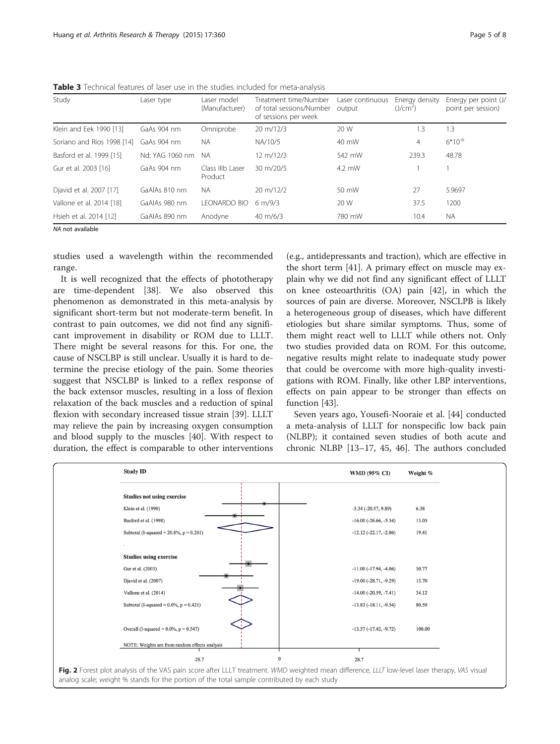| Study                      | Laser type      | Laser model<br>(Manufacturer) | Treatment time/Number<br>of total sessions/Number<br>of sessions per week | Laser continuous<br>output | Energy density<br>(J/cm <sup>2</sup> ) | Energy per point (J/<br>point per session) |  |
|----------------------------|-----------------|-------------------------------|---------------------------------------------------------------------------|----------------------------|----------------------------------------|--------------------------------------------|--|
| Klein and Eek 1990 [13]    | GaAs 904 nm     | Omniprobe                     | 20 m/12/3                                                                 | 20 W                       | 1.3                                    | 1.3                                        |  |
| Soriano and Rios 1998 [14] | GaAs 904 nm     | <b>NA</b>                     | NA/10/5                                                                   | 40 mW                      | $\overline{4}$                         | $6*10^{-6}$                                |  |
| Basford et al. 1999 [15]   | Nd: YAG 1060 nm | <b>NA</b>                     | $12 \text{ m}/12/3$                                                       | 542 mW                     | 239.3                                  | 48.78                                      |  |
| Gur et al. 2003 [16]       | GaAs 904 nm     | Class IIIb Laser<br>Product   | $30 \frac{m}{20/5}$                                                       | 4.2 mW                     |                                        |                                            |  |
| Djavid et al. 2007 [17]    | GaAlAs 810 nm   | <b>NA</b>                     | 20 m/12/2                                                                 | 50 mW                      | 27                                     | 5.9697                                     |  |
| Vallone et al. 2014 [18]   | GaAlAs 980 nm   | <b>I FONARDO BIO</b>          | $6 \frac{m}{9/3}$                                                         | 20 W                       | 37.5                                   | 1200                                       |  |
| Hsieh et al. 2014 [12]     | GaAlAs 890 nm   | Anodyne                       | 40 m/6/3                                                                  | 780 mW                     | 10.4                                   | NA.                                        |  |

<span id="page-4-0"></span>**Table 3** Technical features of laser use in the studies included for meta-analysis

NA not available

studies used a wavelength within the recommended range.

It is well recognized that the effects of phototherapy are time-dependent [\[38](#page-7-0)]. We also observed this phenomenon as demonstrated in this meta-analysis by significant short-term but not moderate-term benefit. In contrast to pain outcomes, we did not find any significant improvement in disability or ROM due to LLLT. There might be several reasons for this. For one, the cause of NSCLBP is still unclear. Usually it is hard to determine the precise etiology of the pain. Some theories suggest that NSCLBP is linked to a reflex response of the back extensor muscles, resulting in a loss of flexion relaxation of the back muscles and a reduction of spinal flexion with secondary increased tissue strain [\[39](#page-7-0)]. LLLT may relieve the pain by increasing oxygen consumption and blood supply to the muscles [[40](#page-7-0)]. With respect to duration, the effect is comparable to other interventions

(e.g., antidepressants and traction), which are effective in the short term [\[41](#page-7-0)]. A primary effect on muscle may explain why we did not find any significant effect of LLLT on knee osteoarthritis (OA) pain [[42](#page-7-0)], in which the sources of pain are diverse. Moreover, NSCLPB is likely a heterogeneous group of diseases, which have different etiologies but share similar symptoms. Thus, some of them might react well to LLLT while others not. Only two studies provided data on ROM. For this outcome, negative results might relate to inadequate study power that could be overcome with more high-quality investigations with ROM. Finally, like other LBP interventions, effects on pain appear to be stronger than effects on function [[43](#page-7-0)].

Seven years ago, Yousefi-Nooraie et al. [\[44](#page-7-0)] conducted a meta-analysis of LLLT for nonspecific low back pain (NLBP); it contained seven studies of both acute and chronic NLBP [\[13](#page-6-0)–[17](#page-6-0), [45](#page-7-0), [46](#page-7-0)]. The authors concluded

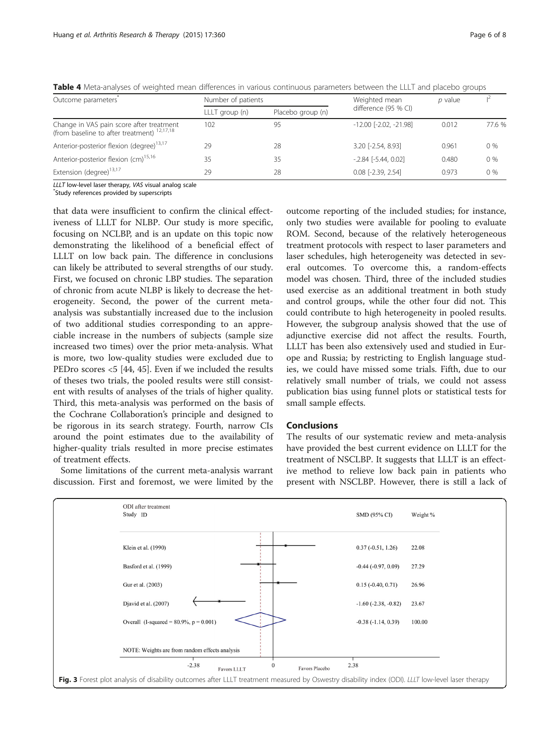| Outcome parameters                                                                        | Number of patients |                   | Weighted mean                   | <i>p</i> value |        |
|-------------------------------------------------------------------------------------------|--------------------|-------------------|---------------------------------|----------------|--------|
|                                                                                           | LLLT group (n)     | Placebo group (n) | difference (95 % CI)            |                |        |
| Change in VAS pain score after treatment<br>(from baseline to after treatment) $12,17,18$ | 102                | 95                | $-12.00$ [ $-2.02$ , $-21.98$ ] | 0.012          | 77.6 % |
| Anterior-posterior flexion (degree) <sup>13,17</sup>                                      | 29                 | 28                | 3.20 [-2.54, 8.93]              | 0.961          | $0\%$  |
| Anterior-posterior flexion (cm) <sup>15,16</sup>                                          | 35                 | 35                | $-2.84$ [ $-5.44$ , 0.02]       | 0.480          | 0%     |
| Extension (degree) <sup>13,17</sup>                                                       | 29                 | 28                | $0.08$ [-2.39, 2.54]            | 0.973          | 0%     |

<span id="page-5-0"></span>Table 4 Meta-analyses of weighted mean differences in various continuous parameters between the LLLT and placebo groups

LLLT low-level laser therapy, VAS visual analog scale

Study references provided by superscripts

that data were insufficient to confirm the clinical effectiveness of LLLT for NLBP. Our study is more specific, focusing on NCLBP, and is an update on this topic now demonstrating the likelihood of a beneficial effect of LLLT on low back pain. The difference in conclusions can likely be attributed to several strengths of our study. First, we focused on chronic LBP studies. The separation of chronic from acute NLBP is likely to decrease the heterogeneity. Second, the power of the current metaanalysis was substantially increased due to the inclusion of two additional studies corresponding to an appreciable increase in the numbers of subjects (sample size increased two times) over the prior meta-analysis. What is more, two low-quality studies were excluded due to PEDro scores <5 [[44](#page-7-0), [45](#page-7-0)]. Even if we included the results of theses two trials, the pooled results were still consistent with results of analyses of the trials of higher quality. Third, this meta-analysis was performed on the basis of the Cochrane Collaboration's principle and designed to be rigorous in its search strategy. Fourth, narrow CIs around the point estimates due to the availability of higher-quality trials resulted in more precise estimates of treatment effects.

Some limitations of the current meta-analysis warrant discussion. First and foremost, we were limited by the

outcome reporting of the included studies; for instance, only two studies were available for pooling to evaluate ROM. Second, because of the relatively heterogeneous treatment protocols with respect to laser parameters and laser schedules, high heterogeneity was detected in several outcomes. To overcome this, a random-effects model was chosen. Third, three of the included studies used exercise as an additional treatment in both study and control groups, while the other four did not. This could contribute to high heterogeneity in pooled results. However, the subgroup analysis showed that the use of adjunctive exercise did not affect the results. Fourth, LLLT has been also extensively used and studied in Europe and Russia; by restricting to English language studies, we could have missed some trials. Fifth, due to our relatively small number of trials, we could not assess publication bias using funnel plots or statistical tests for small sample effects.

## Conclusions

The results of our systematic review and meta-analysis have provided the best current evidence on LLLT for the treatment of NSCLBP. It suggests that LLLT is an effective method to relieve low back pain in patients who present with NSCLBP. However, there is still a lack of

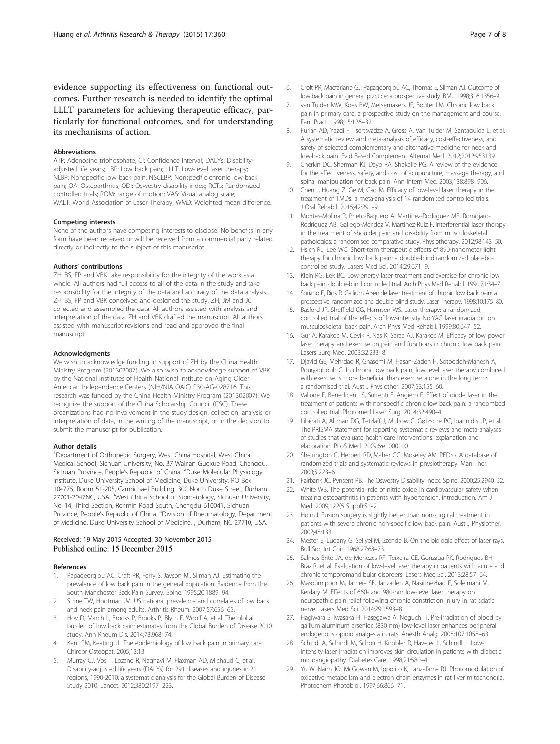<span id="page-6-0"></span>evidence supporting its effectiveness on functional outcomes. Further research is needed to identify the optimal LLLT parameters for achieving therapeutic efficacy, particularly for functional outcomes, and for understanding its mechanisms of action.

#### Abbreviations

ATP: Adenosine triphosphate; CI: Confidence interval; DALYs: Disabilityadjusted life years; LBP: Low back pain; LLLT: Low-level laser therapy; NLBP: Nonspecific low back pain; NSCLBP: Nonspecific chronic low back pain; OA: Osteoarthritis; ODI: Oswestry disability index; RCTs: Randomized controlled trials; ROM: range of motion; VAS: Visual analog scale; WALT: World Association of Laser Therapy; WMD: Weighted mean difference.

#### Competing interests

None of the authors have competing interests to disclose. No benefits in any form have been received or will be received from a commercial party related directly or indirectly to the subject of this manuscript.

#### Authors' contributions

ZH, BS, FP and VBK take responsibility for the integrity of the work as a whole. All authors had full access to all of the data in the study and take responsibility for the integrity of the data and accuracy of the data analysis. ZH, BS, FP and VBK conceived and designed the study. ZH, JM and JC collected and assembled the data. All authors assisted with analysis and interpretation of the data. ZH and VBK drafted the manuscript. All authors assisted with manuscript revisions and read and approved the final manuscript.

#### Acknowledgments

We wish to acknowledge funding in support of ZH by the China Health Ministry Program (201302007). We also wish to acknowledge support of VBK by the National Institutes of Health National Institute on Aging Older American Independence Centers (NIH/NIA OAIC) P30-AG-028716. This research was funded by the China Health Ministry Program (201302007). We recognize the support of the China Scholarship Council (CSC). These organizations had no involvement in the study design, collection, analysis or interpretation of data, in the writing of the manuscript, or in the decision to submit the manuscript for publication.

#### Author details

<sup>1</sup>Department of Orthopedic Surgery, West China Hospital, West China Medical School, Sichuan University, No. 37 Wainan Guoxue Road, Chengdu, Sichuan Province, People's Republic of China. <sup>2</sup>Duke Molecular Physiology Institute, Duke University School of Medicine, Duke University, PO Box 104775, Room 51-205, Carmichael Building, 300 North Duke Street, Durham 27701-2047NC, USA. <sup>3</sup>West China School of Stomatology, Sichuan University, No. 14, Third Section, Renmin Road South, Chengdu 610041, Sichuan Province, People's Republic of China. <sup>4</sup>Division of Rheumatology, Department of Medicine, Duke University School of Medicine, , Durham, NC 27710, USA.

#### Received: 19 May 2015 Accepted: 30 November 2015 Published online: 15 December 2015

#### References

- 1. Papageorgiou AC, Croft PR, Ferry S, Jayson MI, Silman AJ. Estimating the prevalence of low back pain in the general population. Evidence from the South Manchester Back Pain Survey. Spine. 1995;20:1889–94.
- 2. Strine TW, Hootman JM. US national prevalence and correlates of low back and neck pain among adults. Arthritis Rheum. 2007;57:656–65.
- 3. Hoy D, March L, Brooks P, Brooks P, Blyth F, Woolf A, et al. The global burden of low back pain: estimates from the Global Burden of Disease 2010 study. Ann Rheum Dis. 2014;73:968–74.
- 4. Kent PM, Keating JL. The epidemiology of low back pain in primary care. Chiropr Osteopat. 2005;13:13.
- 5. Murray CJ, Vos T, Lozano R, Naghavi M, Flaxman AD, Michaud C, et al. Disability-adjusted life years (DALYs) for 291 diseases and injuries in 21 regions, 1990-2010: a systematic analysis for the Global Burden of Disease Study 2010. Lancet. 2012;380:2197–223.
- 6. Croft PR, Macfarlane GJ, Papageorgiou AC, Thomas E, Silman AJ. Outcome of low back pain in general practice: a prospective study. BMJ. 1998;316:1356–9.
- 7. van Tulder MW, Koes BW, Metsemakers JF, Bouter LM. Chronic low back pain in primary care: a prospective study on the management and course. Fam Pract. 1998;15:126–32.
- 8. Furlan AD, Yazdi F, Tsertsvadze A, Gross A, Van Tulder M, Santaguida L, et al. A systematic review and meta-analysis of efficacy, cost-effectiveness, and safety of selected complementary and alternative medicine for neck and low-back pain. Evid Based Complement Alternat Med. 2012;2012:953139.
- 9. Cherkin DC, Sherman KJ, Deyo RA, Shekelle PG. A review of the evidence for the effectiveness, safety, and cost of acupuncture, massage therapy, and spinal manipulation for back pain. Ann Intern Med. 2003;138:898–906.
- 10. Chen J, Huang Z, Ge M, Gao M. Efficacy of low-level laser therapy in the treatment of TMDs: a meta-analysis of 14 randomised controlled trials. J Oral Rehabil. 2015;42:291–9.
- 11. Montes-Molina R, Prieto-Baquero A, Martinez-Rodriguez ME, Romojaro-Rodriguez AB, Gallego-Mendez V, Martinez-Ruiz F. Interferential laser therapy in the treatment of shoulder pain and disability from musculoskeletal pathologies: a randomised comparative study. Physiotherapy. 2012;98:143–50.
- 12. Hsieh RL, Lee WC. Short-term therapeutic effects of 890-nanometer light therapy for chronic low back pain: a double-blind randomized placebocontrolled study. Lasers Med Sci. 2014;29:671–9.
- 13. Klein RG, Eek BC. Low-energy laser treatment and exercise for chronic low back pain: double-blind controlled trial. Arch Phys Med Rehabil. 1990;71:34–7.
- 14. Soriano F, Rios R. Gallium Arsenide laser treatment of chronic low back pain: a prospective, randomized and double blind study. Laser Therapy. 1998;10:175–80.
- 15. Basford JR, Sheffield CG, Harmsen WS. Laser therapy: a randomized, controlled trial of the effects of low-intensity Nd:YAG laser irradiation on musculoskeletal back pain. Arch Phys Med Rehabil. 1999;80:647–52.
- 16. Gur A, Karakoc M, Cevik R, Nas K, Sarac AJ, Karakoc M. Efficacy of low power laser therapy and exercise on pain and functions in chronic low back pain. Lasers Surg Med. 2003;32:233–8.
- 17. Djavid GE, Mehrdad R, Ghasemi M, Hasan-Zadeh H, Sotoodeh-Manesh A, Pouryaghoub G. In chronic low back pain, low level laser therapy combined with exercise is more beneficial than exercise alone in the long term: a randomised trial. Aust J Physiother. 2007;53:155–60.
- 18. Vallone F, Benedicenti S, Sorrenti E, Angiero F. Effect of diode laser in the treatment of patients with nonspecific chronic low back pain: a randomized controlled trial. Photomed Laser Surg. 2014;32:490–4.
- 19. Liberati A, Altman DG, Tetzlaff J, Mulrow C, Gøtzsche PC, Ioannidis JP, et al. The PRISMA statement for reporting systematic reviews and meta-analyses of studies that evaluate health care interventions: explanation and elaboration. PLoS Med. 2009;6:e1000100.
- 20. Sherrington C, Herbert RD, Maher CG, Moseley AM. PEDro. A database of randomized trials and systematic reviews in physiotherapy. Man Ther. 2000;5:223–6.
- 21. Fairbank JC, Pynsent PB. The Oswestry Disability Index. Spine. 2000;25:2940–52.
- 22. White WB. The potential role of nitric oxide in cardiovascular safety when treating osteoarthritis in patients with hypertension. Introduction. Am J Med. 2009;122(5 Suppl):S1–2.
- 23. Holm I. Fusion surgery is slightly better than non-surgical treatment in patients with severe chronic non-specific low back pain. Aust J Physiother. 2002;48:133.
- 24. Mester E, Ludany G, Sellyei M, Szende B. On the biologic effect of laser rays. Bull Soc Int Chir. 1968;27:68–73.
- 25. Salmos-Brito JA, de Menezes RF, Teixeira CE, Gonzaga RK, Rodrigues BH, Braz R, et al. Evaluation of low-level laser therapy in patients with acute and chronic temporomandibular disorders. Lasers Med Sci. 2013;28:57–64.
- 26. Masoumipoor M, Jameie SB, Janzadeh A, Nasirinezhad F, Soleimani M, Kerdary M. Effects of 660- and 980-nm low-level laser therapy on neuropathic pain relief following chronic constriction injury in rat sciatic nerve. Lasers Med Sci. 2014;29:1593–8.
- 27. Hagiwara S, Iwasaka H, Hasegawa A, Noguchi T. Pre-irradiation of blood by gallium aluminum arsenide (830 nm) low-level laser enhances peripheral endogenous opioid analgesia in rats. Anesth Analg. 2008;107:1058–63.
- 28. Schindl A, Schindl M, Schon H, Knobler R, Havelec L, Schindl L. Lowintensity laser irradiation improves skin circulation in patients with diabetic microangiopathy. Diabetes Care. 1998;21:580–4.
- 29. Yu W, Naim JO, McGowan M, Ippolito K, Lanzafame RJ. Photomodulation of oxidative metabolism and electron chain enzymes in rat liver mitochondria. Photochem Photobiol. 1997;66:866–71.